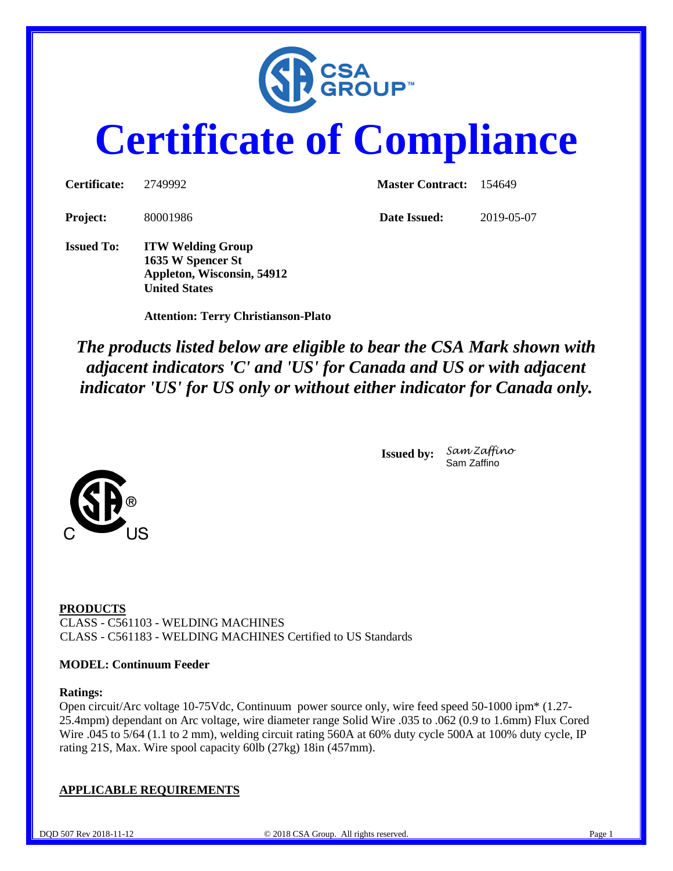

# **Certificate of Compliance**

| <b>Certificate:</b> | 2749992                                                                     | <b>Master Contract:</b> | - 154649   |  |
|---------------------|-----------------------------------------------------------------------------|-------------------------|------------|--|
| <b>Project:</b>     | 80001986                                                                    | Date Issued:            | 2019-05-07 |  |
| <b>Issued To:</b>   | <b>ITW Welding Group</b><br>1635 W Spencer St<br>Appleton, Wisconsin, 54912 |                         |            |  |

 **Attention: Terry Christianson-Plato**

**United States**

*The products listed below are eligible to bear the CSA Mark shown with adjacent indicators 'C' and 'US' for Canada and US or with adjacent indicator 'US' for US only or without either indicator for Canada only.*



**Issued by:** *Sam Zaffino* Sam Zaffino

**PRODUCTS** CLASS - C561103 - WELDING MACHINES CLASS - C561183 - WELDING MACHINES Certified to US Standards

#### **MODEL: Continuum Feeder**

#### **Ratings:**

Open circuit/Arc voltage 10-75Vdc, Continuum power source only, wire feed speed 50-1000 ipm\* (1.27- 25.4mpm) dependant on Arc voltage, wire diameter range Solid Wire .035 to .062 (0.9 to 1.6mm) Flux Cored Wire .045 to 5/64 (1.1 to 2 mm), welding circuit rating 560A at 60% duty cycle 500A at 100% duty cycle, IP rating 21S, Max. Wire spool capacity 60lb (27kg) 18in (457mm).

**APPLICABLE REQUIREMENTS**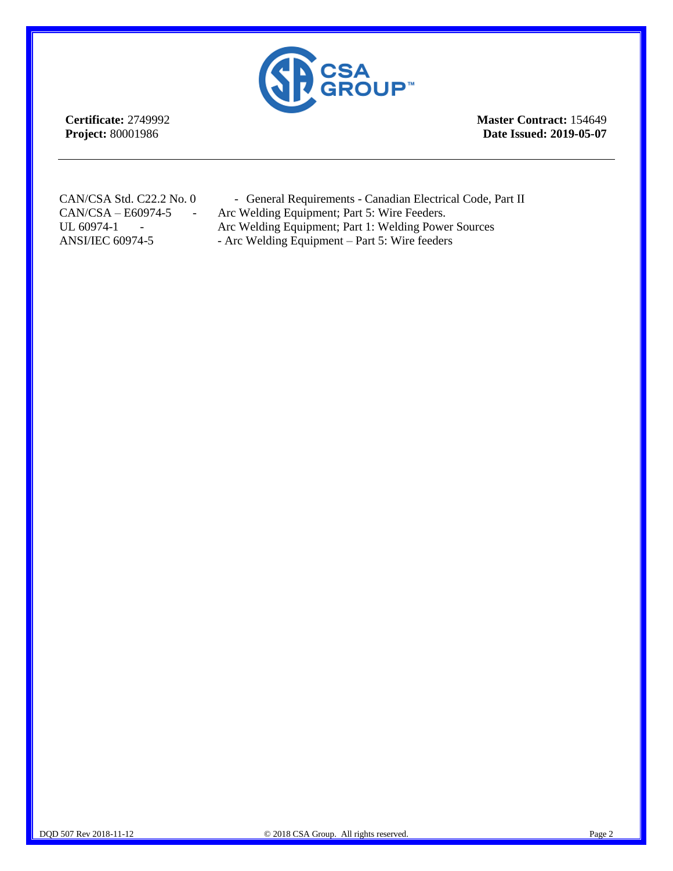

**Certificate:** 2749992 **Project:** 80001986

**Master Contract:** 154649 **Date Issued: 2019-05-07**

CAN/CSA Std. C22.2 No. 0 - General Requirements - Canadian Electrical Code, Part II CAN/CSA – E60974-5 - Arc Welding Equipment; Part 5: Wire Feeders. UL 60974-1 - Arc Welding Equipment; Part 1: Welding Power Sources ANSI/IEC 60974-5 - Arc Welding Equipment – Part 5: Wire feeders